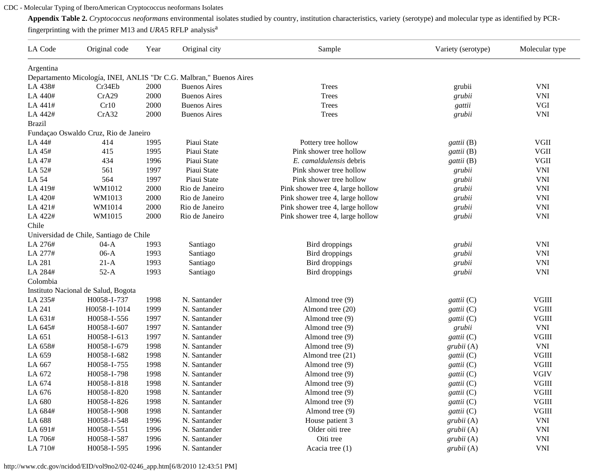## CDC - Molecular Typing of IberoAmerican Cryptococcus neoformans Isolates

**Appendix Table 2.** *Cryptococcus neoformans* environmental isolates studied by country, institution characteristics, variety (serotype) and molecular type as identified by PCR-

fingerprinting with the primer M13 and *URA*5 RFLP analysis<sup>a</sup>

| LA Code                               | Original code                           | Year | Original city                                                       | Sample                           | Variety (serotype) | Molecular type |  |  |  |  |
|---------------------------------------|-----------------------------------------|------|---------------------------------------------------------------------|----------------------------------|--------------------|----------------|--|--|--|--|
| Argentina                             |                                         |      |                                                                     |                                  |                    |                |  |  |  |  |
|                                       |                                         |      | Departamento Micología, INEI, ANLIS "Dr C.G. Malbran," Buenos Aires |                                  |                    |                |  |  |  |  |
| LA 438#                               | Cr34Eb                                  | 2000 | <b>Buenos Aires</b>                                                 | <b>Trees</b>                     | grubii             | <b>VNI</b>     |  |  |  |  |
| LA 440#                               | CrA29                                   | 2000 | <b>Buenos Aires</b>                                                 | <b>Trees</b>                     | grubii             | <b>VNI</b>     |  |  |  |  |
| LA 441#                               | Cr10                                    | 2000 | <b>Buenos Aires</b>                                                 | <b>Trees</b>                     | gattii             | VGI            |  |  |  |  |
| LA 442#                               | CrA32                                   | 2000 | <b>Buenos Aires</b>                                                 | Trees                            | grubii             | <b>VNI</b>     |  |  |  |  |
| <b>Brazil</b>                         |                                         |      |                                                                     |                                  |                    |                |  |  |  |  |
| Fundação Oswaldo Cruz, Rio de Janeiro |                                         |      |                                                                     |                                  |                    |                |  |  |  |  |
| LA 44#                                | 414                                     | 1995 | Piaui State                                                         | Pottery tree hollow              | gattii (B)         | <b>VGII</b>    |  |  |  |  |
| LA 45#                                | 415                                     | 1995 | Piaui State                                                         | Pink shower tree hollow          | gattii (B)         | VGII           |  |  |  |  |
| LA 47#                                | 434                                     | 1996 | Piaui State                                                         | E. camaldulensis debris          | gattii (B)         | VGII           |  |  |  |  |
| LA 52#                                | 561                                     | 1997 | Piaui State                                                         | Pink shower tree hollow          | grubii             | <b>VNI</b>     |  |  |  |  |
| LA 54                                 | 564                                     | 1997 | Piaui State                                                         | Pink shower tree hollow          | grubii             | <b>VNI</b>     |  |  |  |  |
| LA 419#                               | WM1012                                  | 2000 | Rio de Janeiro                                                      | Pink shower tree 4, large hollow | grubii             | <b>VNI</b>     |  |  |  |  |
| LA 420#                               | WM1013                                  | 2000 | Rio de Janeiro                                                      | Pink shower tree 4, large hollow | grubii             | <b>VNI</b>     |  |  |  |  |
| LA 421#                               | WM1014                                  | 2000 | Rio de Janeiro                                                      | Pink shower tree 4, large hollow | grubii             | <b>VNI</b>     |  |  |  |  |
| LA 422#                               | WM1015                                  | 2000 | Rio de Janeiro                                                      | Pink shower tree 4, large hollow | grubii             | <b>VNI</b>     |  |  |  |  |
| Chile                                 |                                         |      |                                                                     |                                  |                    |                |  |  |  |  |
|                                       | Universidad de Chile, Santiago de Chile |      |                                                                     |                                  |                    |                |  |  |  |  |
| LA 276#                               | $04-A$                                  | 1993 | Santiago                                                            | Bird droppings                   | grubii             | <b>VNI</b>     |  |  |  |  |
| LA 277#                               | $06-A$                                  | 1993 | Santiago                                                            | Bird droppings                   | grubii             | <b>VNI</b>     |  |  |  |  |
| LA 281                                | $21-A$                                  | 1993 | Santiago                                                            | Bird droppings                   | grubii             | <b>VNI</b>     |  |  |  |  |
| LA 284#                               | $52-A$                                  | 1993 | Santiago                                                            | Bird droppings                   | grubii             | <b>VNI</b>     |  |  |  |  |
| Colombia                              |                                         |      |                                                                     |                                  |                    |                |  |  |  |  |
|                                       | Instituto Nacional de Salud, Bogota     |      |                                                                     |                                  |                    |                |  |  |  |  |
| LA 235#                               | H0058-I-737                             | 1998 | N. Santander                                                        | Almond tree (9)                  | gattii (C)         | <b>VGIII</b>   |  |  |  |  |
| LA 241                                | H0058-I-1014                            | 1999 | N. Santander                                                        | Almond tree (20)                 | gattii (C)         | <b>VGIII</b>   |  |  |  |  |
| LA 631#                               | H0058-I-556                             | 1997 | N. Santander                                                        | Almond tree (9)                  | gattii (C)         | <b>VGIII</b>   |  |  |  |  |
| LA 645#                               | H0058-I-607                             | 1997 | N. Santander                                                        | Almond tree (9)                  | grubii             | <b>VNI</b>     |  |  |  |  |
| LA 651                                | H0058-I-613                             | 1997 | N. Santander                                                        | Almond tree (9)                  | gattii (C)         | $\rm VGIII$    |  |  |  |  |
| LA 658#                               | H0058-I-679                             | 1998 | N. Santander                                                        | Almond tree (9)                  | grubii(A)          | <b>VNI</b>     |  |  |  |  |
| LA 659                                | H0058-I-682                             | 1998 | N. Santander                                                        | Almond tree (21)                 | gattii (C)         | <b>VGIII</b>   |  |  |  |  |
| LA 667                                | H0058-I-755                             | 1998 | N. Santander                                                        | Almond tree (9)                  | gattii (C)         | <b>VGIII</b>   |  |  |  |  |
| LA 672                                | H0058-I-798                             | 1998 | N. Santander                                                        | Almond tree (9)                  | gattii (C)         | <b>VGIV</b>    |  |  |  |  |
| LA 674                                | H0058-I-818                             | 1998 | N. Santander                                                        | Almond tree (9)                  | gattii (C)         | <b>VGIII</b>   |  |  |  |  |
| LA 676                                | H0058-I-820                             | 1998 | N. Santander                                                        | Almond tree (9)                  | gattii (C)         | <b>VGIII</b>   |  |  |  |  |
| LA 680                                | H0058-I-826                             | 1998 | N. Santander                                                        | Almond tree (9)                  | gattii (C)         | <b>VGIII</b>   |  |  |  |  |
| LA 684#                               | H0058-I-908                             | 1998 | N. Santander                                                        | Almond tree (9)                  | gattii (C)         | <b>VGIII</b>   |  |  |  |  |
| LA 688                                | H0058-I-548                             | 1996 | N. Santander                                                        | House patient 3                  | grubii(A)          | <b>VNI</b>     |  |  |  |  |
| LA 691#                               | H0058-I-551                             | 1996 | N. Santander                                                        | Older oiti tree                  | grubii(A)          | <b>VNI</b>     |  |  |  |  |
| LA 706#                               | H0058-I-587                             | 1996 | N. Santander                                                        | Oiti tree                        | grubii(A)          | VNI            |  |  |  |  |
| LA 710#                               | H0058-I-595                             | 1996 | N. Santander                                                        | Acacia tree (1)                  | grubii(A)          | <b>VNI</b>     |  |  |  |  |

http://www.cdc.gov/ncidod/EID/vol9no2/02-0246\_app.htm[6/8/2010 12:43:51 PM]